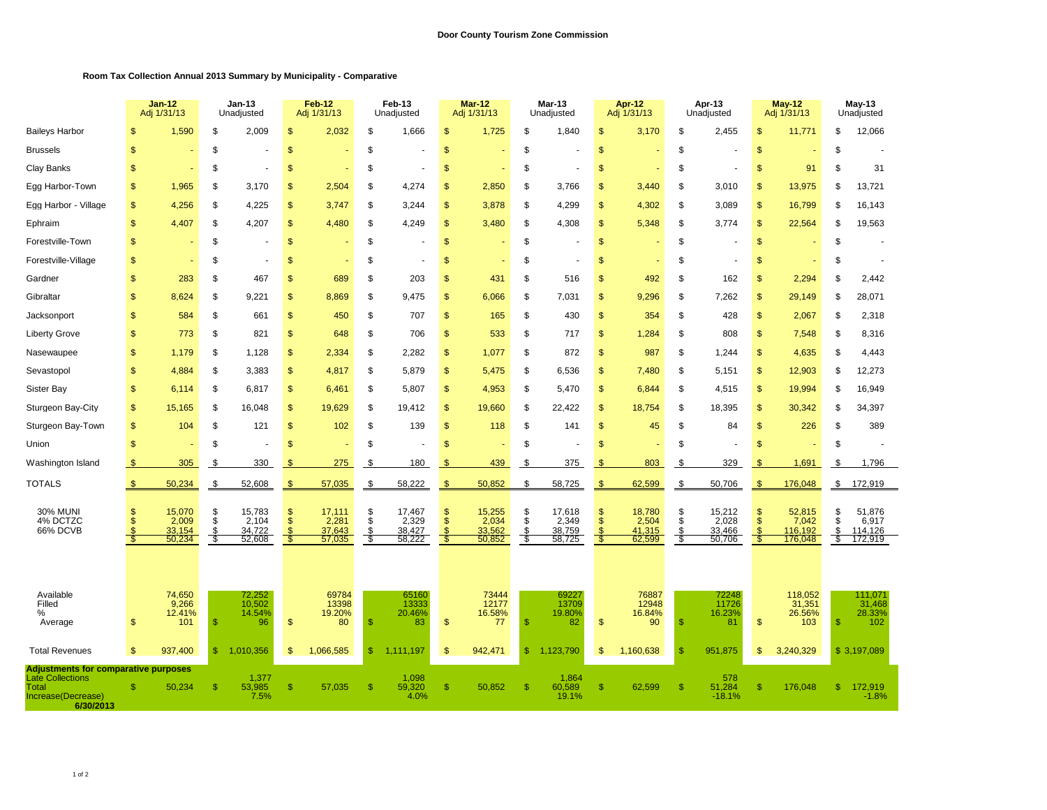## **Room Tax Collection Annual 2013 Summary by Municipality - Comparative**

|                                                                     |                      | Jan-12<br>Adj 1/31/13                       |                              | <b>Jan-13</b><br>Unadjusted                   |                            | <b>Feb-12</b><br>Adj 1/31/13                |                        | Feb-13<br>Unadjusted                        |                                  | <b>Mar-12</b><br>Adj 1/31/13              |                       | <b>Mar-13</b><br>Unadjusted                 |                           | Apr-12<br>Adj 1/31/13                       |                   | Apr-13<br>Unadjusted                      |               | <b>May-12</b><br>Adj 1/31/13                    |                      | May-13<br>Unadjusted                              |  |
|---------------------------------------------------------------------|----------------------|---------------------------------------------|------------------------------|-----------------------------------------------|----------------------------|---------------------------------------------|------------------------|---------------------------------------------|----------------------------------|-------------------------------------------|-----------------------|---------------------------------------------|---------------------------|---------------------------------------------|-------------------|-------------------------------------------|---------------|-------------------------------------------------|----------------------|---------------------------------------------------|--|
| <b>Baileys Harbor</b>                                               | \$                   | 1,590                                       | \$                           | 2,009                                         | \$                         | 2,032                                       | \$                     | 1,666                                       | $\mathfrak{s}$                   | 1,725                                     | \$                    | 1,840                                       | <sup>\$</sup>             | 3,170                                       | \$                | 2,455                                     | <sup>\$</sup> | 11,771                                          | \$                   | 12,066                                            |  |
| <b>Brussels</b>                                                     | $\mathsf{\$}$        |                                             | \$                           |                                               | $\mathsf{\$}$              |                                             | \$                     |                                             | $\frac{1}{2}$                    |                                           | \$                    |                                             | $\mathbf{s}$              |                                             | \$                |                                           | $\mathsf{\$}$ |                                                 | \$                   |                                                   |  |
| Clay Banks                                                          | $\mathbb{S}$         |                                             | \$                           |                                               | S                          |                                             | \$                     |                                             | $\mathfrak{s}$                   |                                           | S                     |                                             | <sup>\$</sup>             |                                             | \$                |                                           | $\mathbb{S}$  | 91                                              | \$                   | 31                                                |  |
| Egg Harbor-Town                                                     | \$                   | 1,965                                       | \$                           | 3,170                                         | \$                         | 2,504                                       | \$                     | 4,274                                       | \$                               | 2,850                                     | \$                    | 3,766                                       | <sup>\$</sup>             | 3,440                                       | \$                | 3,010                                     | <sup>\$</sup> | 13,975                                          | \$                   | 13,721                                            |  |
| Egg Harbor - Village                                                | \$                   | 4,256                                       | \$                           | 4,225                                         | \$                         | 3,747                                       | \$                     | 3,244                                       | \$                               | 3,878                                     | \$                    | 4,299                                       | <sup>\$</sup>             | 4,302                                       | \$                | 3,089                                     | \$            | 16,799                                          | \$                   | 16,143                                            |  |
| Ephraim                                                             | \$                   | 4,407                                       | \$                           | 4,207                                         | \$                         | 4,480                                       | \$                     | 4,249                                       | $\frac{1}{2}$                    | 3,480                                     | \$                    | 4,308                                       | <sup>\$</sup>             | 5,348                                       | \$                | 3.774                                     | \$            | 22,564                                          | \$                   | 19,563                                            |  |
| Forestville-Town                                                    | \$                   |                                             | \$                           |                                               | \$                         |                                             | \$                     |                                             | $\frac{1}{2}$                    |                                           | \$                    |                                             | \$                        |                                             | \$                |                                           | \$            |                                                 | \$                   |                                                   |  |
| Forestville-Village                                                 | \$                   |                                             | \$                           |                                               | \$                         |                                             | \$                     |                                             | $\mathfrak{s}$                   |                                           | \$                    |                                             | <sup>\$</sup>             |                                             | \$                |                                           | <sup>\$</sup> |                                                 | \$                   |                                                   |  |
| Gardner                                                             | $\mathsf{\$}$        | 283                                         | \$                           | 467                                           | \$                         | 689                                         | \$                     | 203                                         | <sup>\$</sup>                    | 431                                       | \$                    | 516                                         | <sup>\$</sup>             | 492                                         | \$                | 162                                       | $\mathbf{s}$  | 2,294                                           | \$                   | 2,442                                             |  |
| Gibraltar                                                           | $\mathsf{\$}$        | 8,624                                       | \$                           | 9.221                                         | \$                         | 8,869                                       | \$                     | 9.475                                       | \$                               | 6,066                                     | \$                    | 7,031                                       | $\mathsf{\$}$             | 9,296                                       | \$                | 7,262                                     | $\mathsf{\$}$ | 29,149                                          | \$                   | 28,071                                            |  |
| Jacksonport                                                         | <sub>\$</sub>        | 584                                         | \$                           | 661                                           | $\mathfrak{s}$             | 450                                         | \$                     | 707                                         | $\mathfrak{s}$                   | 165                                       | \$                    | 430                                         | <sup>\$</sup>             | 354                                         | \$                | 428                                       | $\mathbb{S}$  | 2,067                                           | \$                   | 2,318                                             |  |
| <b>Liberty Grove</b>                                                | \$                   | 773                                         | \$                           | 821                                           | \$                         | 648                                         | \$                     | 706                                         | $\frac{1}{2}$                    | 533                                       | \$                    | 717                                         | \$                        | 1,284                                       | \$                | 808                                       | $\mathsf{\$}$ | 7,548                                           | \$                   | 8,316                                             |  |
| Nasewaupee                                                          | $\mathsf{\$}$        | 1.179                                       | \$                           | 1,128                                         | \$                         | 2,334                                       | \$                     | 2,282                                       | \$                               | 1,077                                     | \$                    | 872                                         | $\mathsf{\$}$             | 987                                         | \$                | 1,244                                     | $\mathbf{s}$  | 4,635                                           | \$                   | 4,443                                             |  |
| Sevastopol                                                          | $\mathbf{\$}$        | 4.884                                       | \$                           | 3.383                                         | \$                         | 4,817                                       | \$                     | 5.879                                       | \$                               | 5.475                                     | \$                    | 6,536                                       | $\mathbf{\$}$             | 7,480                                       | \$                | 5.151                                     | $\mathbf{s}$  | 12,903                                          | \$                   | 12,273                                            |  |
| Sister Bay                                                          | $\mathbf{s}$         | 6,114                                       | \$                           | 6,817                                         | \$                         | 6,461                                       | \$                     | 5,807                                       | $\mathsf{\$}$                    | 4,953                                     | \$                    | 5,470                                       | $\mathbf{s}$              | 6,844                                       | \$                | 4,515                                     | $\mathbf{s}$  | 19,994                                          | \$                   | 16,949                                            |  |
| Sturgeon Bay-City                                                   | \$                   | 15,165                                      | \$                           | 16,048                                        | \$                         | 19,629                                      | \$                     | 19,412                                      | $\mathfrak{s}$                   | 19,660                                    | \$                    | 22,422                                      | \$                        | 18,754                                      | \$                | 18,395                                    | \$            | 30,342                                          | \$                   | 34,397                                            |  |
| Sturgeon Bay-Town                                                   | \$                   | 104                                         | \$                           | 121                                           | \$                         | 102                                         | \$                     | 139                                         | $\frac{1}{2}$                    | 118                                       | \$                    | 141                                         | \$                        | 45                                          | \$                | 84                                        | $\mathbf{s}$  | 226                                             | \$                   | 389                                               |  |
| Union                                                               | $\mathsf{\$}$        |                                             | \$                           |                                               | $\mathbf{\$}$              |                                             | \$                     |                                             | \$                               |                                           | \$                    |                                             | $\mathbf{s}$              |                                             | \$                |                                           | $\mathbf{s}$  |                                                 | \$                   |                                                   |  |
| Washington Island                                                   | \$                   | 305                                         | \$                           | 330                                           | \$                         | 275                                         | \$                     | 180                                         | \$                               | 439                                       | S                     | 375                                         | -S                        | 803                                         | -\$               | 329                                       | -SS           | 1,691                                           | \$                   | 1,796                                             |  |
| <b>TOTALS</b>                                                       | \$                   | 50,234                                      | \$                           | 52,608                                        | \$                         | 57,035                                      | \$                     | 58,222                                      | $\sqrt{2}$                       | 50,852                                    | \$                    | 58,725                                      | $\frac{1}{2}$             | 62,599                                      | \$                | 50,706                                    | <sup>\$</sup> | 176,048                                         | $\sqrt[6]{3}$        | 172,919                                           |  |
| <b>30% MUNI</b><br>4% DCTZC<br>66% DCVB                             | <sup>\$</sup>        | 15,070<br>2,009<br>33,154<br>50,234         | \$<br>\$<br>\$<br>\$         | 15,783<br>2,104<br>34,722<br>52,608           | \$<br>$\mathfrak{L}$<br>-S | 17,111<br>2,281<br>37,643<br>57,035         | \$<br>\$<br>\$.<br>-\$ | 17,467<br>2,329<br>38,427<br>58,222         | $\frac{1}{2}$<br>$\dot{s}$<br>-5 | 15,255<br>2,034<br>33,562<br>50,852       | \$<br>\$<br>\$<br>-\$ | 17,618<br>2,349<br>38,759<br>58,725         | $\frac{1}{2}$<br>\$<br>-5 | 18,780<br>2,504<br>41,315<br>62,599         | \$<br>\$<br>S.    | 15,212<br>2,028<br>33,466<br>50,706       | \$<br>Ŝ<br>-5 | 52,815<br>7,042<br>116,192<br>176,048           | \$<br>\$<br>\$<br>\$ | 51,876<br>6,917<br>114,126<br>172,919             |  |
| Available<br>Filled<br>$\%$<br>Average<br><b>Total Revenues</b>     | \$<br>$\mathfrak{s}$ | 74,650<br>9,266<br>12.41%<br>101<br>937,400 | $\mathbb{S}$<br>$\mathbb{S}$ | 72,252<br>10,502<br>14.54%<br>96<br>1.010.356 | \$<br>\$                   | 69784<br>13398<br>19.20%<br>80<br>1,066,585 | $\mathbf{\$}$<br>\$    | 65160<br>13333<br>20.46%<br>83<br>1.111.197 | $\mathfrak{s}$<br>$\mathfrak{s}$ | 73444<br>12177<br>16.58%<br>77<br>942,471 | \$<br>\$              | 69227<br>13709<br>19.80%<br>82<br>1,123,790 | <sup>\$</sup><br>\$       | 76887<br>12948<br>16.84%<br>90<br>1,160,638 | S<br>$\mathbb{S}$ | 72248<br>11726<br>16.23%<br>81<br>951,875 | \$<br>\$.     | 118,052<br>31,351<br>26.56%<br>103<br>3,240,329 | \$.                  | 111,07'<br>31,468<br>28.33%<br>102<br>\$3,197,089 |  |
| <b>Adjustments for comparative purposes</b>                         |                      |                                             |                              |                                               |                            |                                             |                        |                                             |                                  |                                           |                       |                                             |                           |                                             |                   |                                           |               |                                                 |                      |                                                   |  |
| <b>Late Collections</b><br>Total<br>Increase(Decrease)<br>6/30/2013 | $\mathbb{S}$         | 50,234                                      | $\mathsf{\$}$                | 1,377<br>53,985<br>7.5%                       | \$                         | 57,035                                      | $\mathsf{\$}$          | 1,098<br>59,320<br>4.0%                     | \$                               | 50,852                                    | \$.                   | 1,864<br>60,589<br>19.1%                    | <sup>\$</sup>             | 62,599                                      | <sup>\$</sup>     | 578<br>51,284<br>$-18.1%$                 | <sup>\$</sup> | 176,048                                         | \$.                  | 172,919<br>$-1.8%$                                |  |